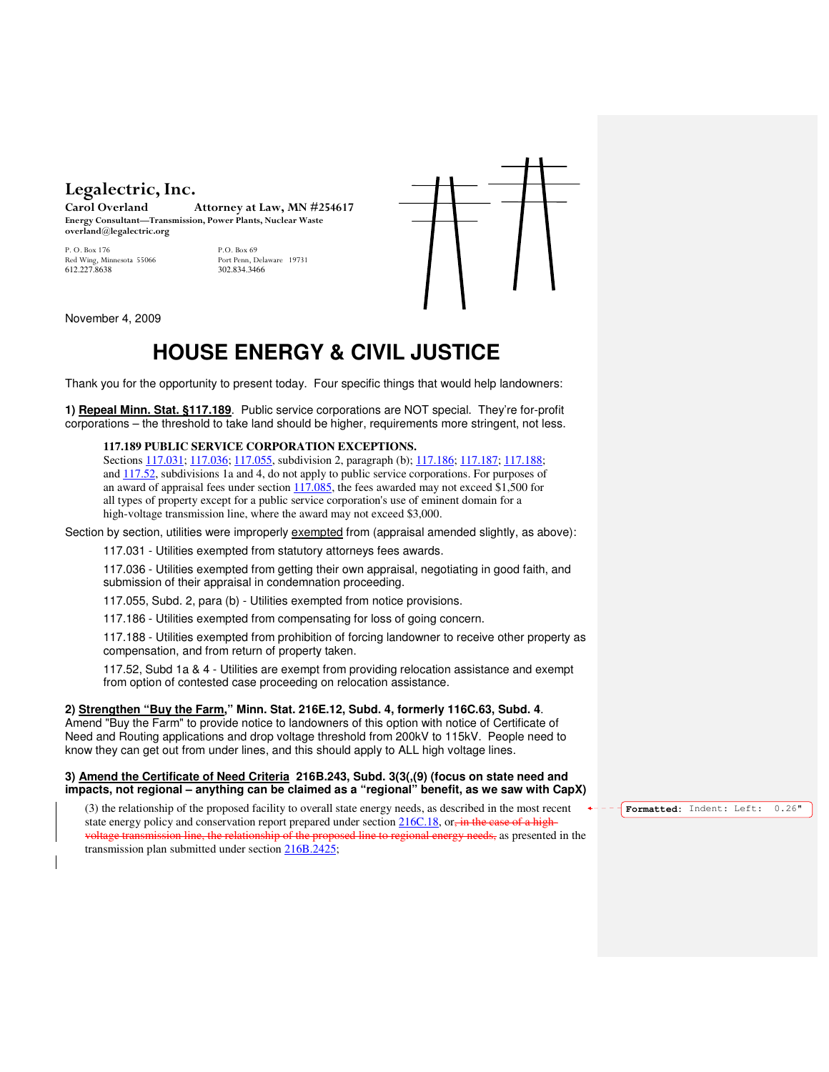# Legalectric, Inc.<br>Carol Overland

Attorney at Law, MN #254617 Energy Consultant—Transmission, Power Plants, Nuclear Waste overland@legalectric.org

Red Wing, Minnesota 55066 Port Penn, Dela<br>612 227 8638 202 834 3466 612.227.8638

P. O. Box 176 P.O. Box 69



November 4, 2009

# **HOUSE ENERGY & CIVIL JUSTICE**

Thank you for the opportunity to present today. Four specific things that would help landowners:

**1) Repeal Minn. Stat. §117.189**. Public service corporations are NOT special. They're for-profit corporations – the threshold to take land should be higher, requirements more stringent, not less.

## **117.189 PUBLIC SERVICE CORPORATION EXCEPTIONS.**

Sections 117.031; 117.036; 117.055, subdivision 2, paragraph (b); 117.186; 117.187; 117.188; and 117.52, subdivisions 1a and 4, do not apply to public service corporations. For purposes of an award of appraisal fees under section 117.085, the fees awarded may not exceed \$1,500 for all types of property except for a public service corporation's use of eminent domain for a high-voltage transmission line, where the award may not exceed \$3,000.

Section by section, utilities were improperly exempted from (appraisal amended slightly, as above):

117.031 - Utilities exempted from statutory attorneys fees awards.

117.036 - Utilities exempted from getting their own appraisal, negotiating in good faith, and submission of their appraisal in condemnation proceeding.

117.055, Subd. 2, para (b) - Utilities exempted from notice provisions.

117.186 - Utilities exempted from compensating for loss of going concern.

117.188 - Utilities exempted from prohibition of forcing landowner to receive other property as compensation, and from return of property taken.

117.52, Subd 1a & 4 - Utilities are exempt from providing relocation assistance and exempt from option of contested case proceeding on relocation assistance.

#### **2) Strengthen "Buy the Farm," Minn. Stat. 216E.12, Subd. 4, formerly 116C.63, Subd. 4**.

Amend "Buy the Farm" to provide notice to landowners of this option with notice of Certificate of Need and Routing applications and drop voltage threshold from 200kV to 115kV. People need to know they can get out from under lines, and this should apply to ALL high voltage lines.

#### **3) Amend the Certificate of Need Criteria 216B.243, Subd. 3(3(,(9) (focus on state need and impacts, not regional – anything can be claimed as a "regional" benefit, as we saw with CapX)**

(3) the relationship of the proposed facility to overall state energy needs, as described in the most recent state energy policy and conservation report prepared under section 216C.18, or, in the case of a highvoltage transmission line, the relationship of the proposed line to regional energy needs, as presented in the transmission plan submitted under section 216B.2425;

**Formatted:** Indent: Left: 0.26"